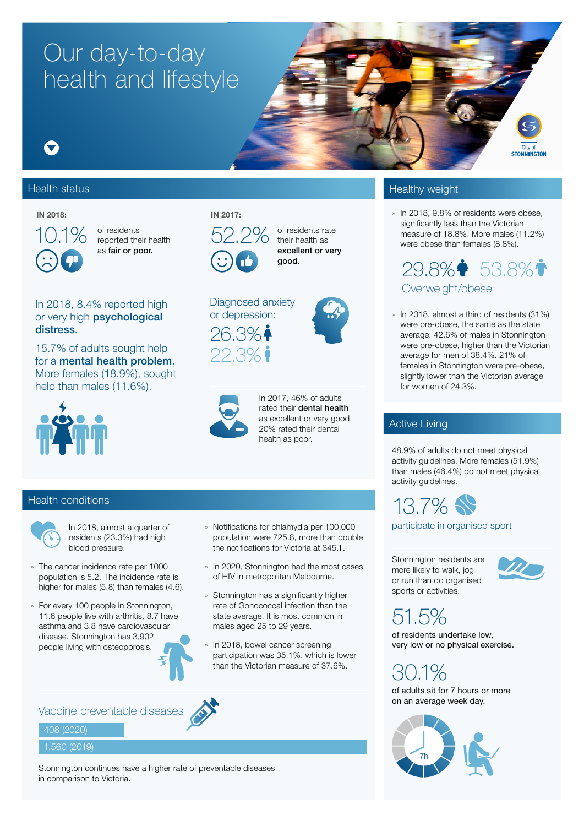# Our day-to-day health and lifestyle

## $\blacktriangledown$

#### Health status **Health status** Healthy weight



of residents  $52.2\%$ as fair or poor.

#### IN 2018: IN 2017:



22.3%

Diagnosed anxiety or depression:  $26.3\%$ 

of residents rate their health as excellent or very good.

### In 2018, 8.4% reported high or very high **psychological** distress.

15.7% of adults sought help for a mental health problem. More females (18.9%), sought help than males (11.6%).



In 2017, 46% of adults rated their dental health as excellent or very good. 20% rated their dental health as poor.

### Health conditions



In 2018, almost a quarter of residents (23.3%) had high blood pressure.

- » The cancer incidence rate per 1000 population is 5.2. The incidence rate is higher for males (5.8) than females (4.6).
- » For every 100 people in Stonnington, 11.6 people live with arthritis, 8.7 have asthma and 3.8 have cardiovascular disease. Stonnington has 3,902 people living with osteoporosis.
- » Notifications for chlamydia per 100,000 population were 725.8, more than double the notifications for Victoria at 345.1.
- » In 2020, Stonnington had the most cases of HIV in metropolitan Melbourne.
- » Stonnington has a significantly higher rate of Gonococcal infection than the state average. It is most common in males aged 25 to 29 years.
- In 2018, bowel cancer screening participation was 35.1%, which is lower than the Victorian measure of 37.6%.



#### 408 (2020)

#### 1,560 (2019)

Stonnington continues have a higher rate of preventable diseases in comparison to Victoria.

» In 2018, 9.8% of residents were obese, significantly less than the Victorian measure of 18.8%. More males (11.2%) were obese than females (8.8%).

City of **STONNINGTON** 

29.8%• 53.8%• Overweight/obese

» In 2018, almost a third of residents (31%) were pre-obese, the same as the state average. 42.6% of males in Stonnington were pre-obese, higher than the Victorian average for men of 38.4%. 21% of females in Stonnington were pre-obese, slightly lower than the Victorian average for women of 24.3%.

### Active Living

48.9% of adults do not meet physical activity guidelines. More females (51.9%) than males (46.4%) do not meet physical activity guidelines.

13.7%

participate in organised sport

Stonnington residents are more likely to walk, jog or run than do organised sports or activities.



51.5%

of residents undertake low, very low or no physical exercise.

30.1% of adults sit for 7 hours or more on an average week day.